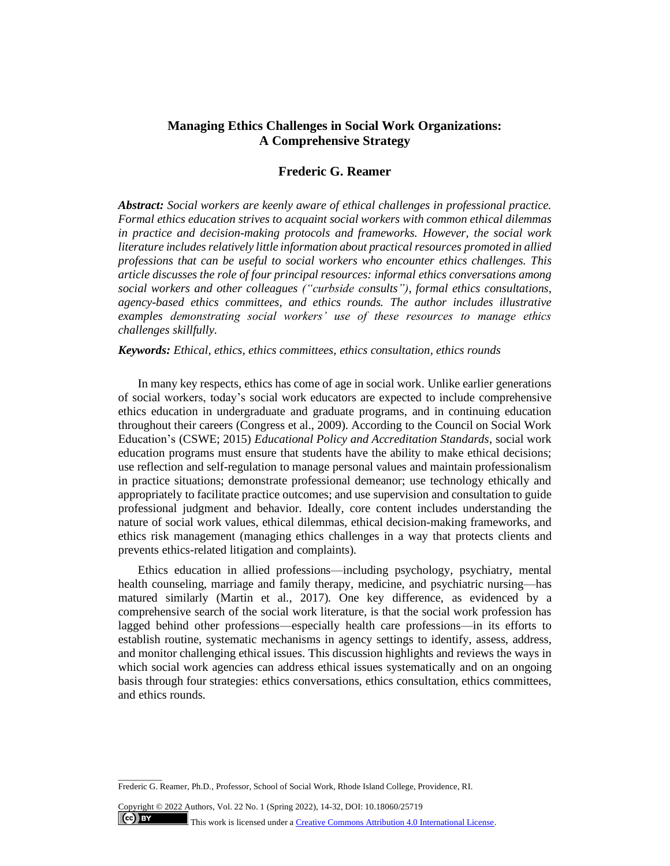# **Managing Ethics Challenges in Social Work Organizations: A Comprehensive Strategy**

# **Frederic G. Reamer**

*Abstract: Social workers are keenly aware of ethical challenges in professional practice. Formal ethics education strives to acquaint social workers with common ethical dilemmas in practice and decision-making protocols and frameworks. However, the social work literature includes relatively little information about practical resources promoted in allied professions that can be useful to social workers who encounter ethics challenges. This article discusses the role of four principal resources: informal ethics conversations among social workers and other colleagues ("curbside consults"), formal ethics consultations, agency-based ethics committees, and ethics rounds. The author includes illustrative examples demonstrating social workers' use of these resources to manage ethics challenges skillfully.*

### *Keywords: Ethical, ethics, ethics committees, ethics consultation, ethics rounds*

In many key respects, ethics has come of age in social work. Unlike earlier generations of social workers, today's social work educators are expected to include comprehensive ethics education in undergraduate and graduate programs, and in continuing education throughout their careers (Congress et al., 2009). According to the Council on Social Work Education's (CSWE; 2015) *Educational Policy and Accreditation Standards*, social work education programs must ensure that students have the ability to make ethical decisions; use reflection and self-regulation to manage personal values and maintain professionalism in practice situations; demonstrate professional demeanor; use technology ethically and appropriately to facilitate practice outcomes; and use supervision and consultation to guide professional judgment and behavior. Ideally, core content includes understanding the nature of social work values, ethical dilemmas, ethical decision-making frameworks, and ethics risk management (managing ethics challenges in a way that protects clients and prevents ethics-related litigation and complaints).

Ethics education in allied professions—including psychology, psychiatry, mental health counseling, marriage and family therapy, medicine, and psychiatric nursing—has matured similarly (Martin et al., 2017). One key difference, as evidenced by a comprehensive search of the social work literature, is that the social work profession has lagged behind other professions—especially health care professions—in its efforts to establish routine, systematic mechanisms in agency settings to identify, assess, address, and monitor challenging ethical issues. This discussion highlights and reviews the ways in which social work agencies can address ethical issues systematically and on an ongoing basis through four strategies: ethics conversations, ethics consultation, ethics committees, and ethics rounds.

Frederic G. Reamer, Ph.D., Professor, School of Social Work, Rhode Island College, Providence, RI.

\_\_\_\_\_\_\_\_\_\_

Copyright © 2022 Authors, Vol. 22 No. 1 (Spring 2022), 14-32, DOI: 10.18060/25719  $\left($ ce $\right)$  BY This work is licensed under a **Creative Commons Attribution 4.0 International License**.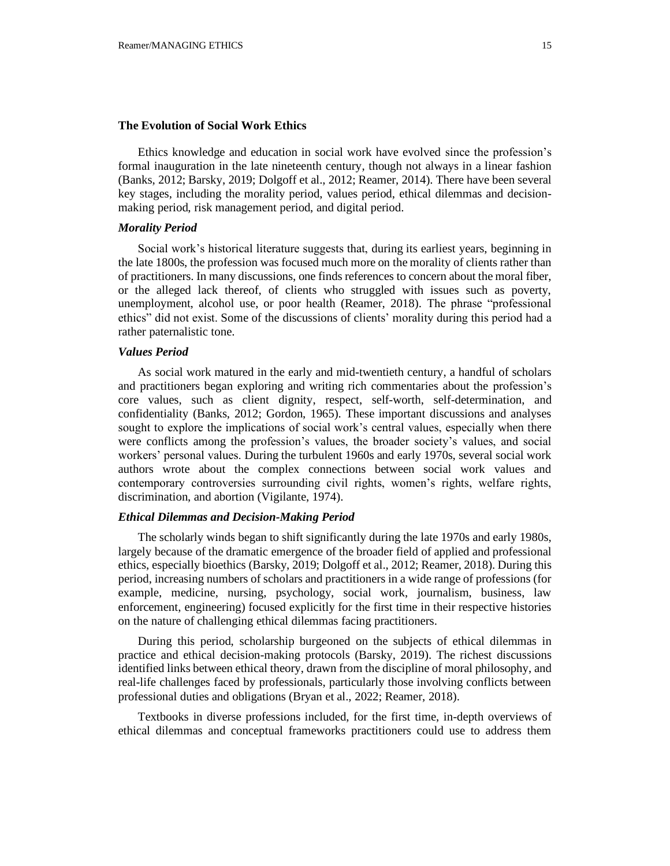#### **The Evolution of Social Work Ethics**

Ethics knowledge and education in social work have evolved since the profession's formal inauguration in the late nineteenth century, though not always in a linear fashion (Banks, 2012; Barsky, 2019; Dolgoff et al., 2012; Reamer, 2014). There have been several key stages, including the morality period, values period, ethical dilemmas and decisionmaking period, risk management period, and digital period.

#### *Morality Period*

Social work's historical literature suggests that, during its earliest years, beginning in the late 1800s, the profession was focused much more on the morality of clients rather than of practitioners. In many discussions, one finds references to concern about the moral fiber, or the alleged lack thereof, of clients who struggled with issues such as poverty, unemployment, alcohol use, or poor health (Reamer, 2018). The phrase "professional ethics" did not exist. Some of the discussions of clients' morality during this period had a rather paternalistic tone.

#### *Values Period*

As social work matured in the early and mid-twentieth century, a handful of scholars and practitioners began exploring and writing rich commentaries about the profession's core values, such as client dignity, respect, self-worth, self-determination, and confidentiality (Banks, 2012; Gordon, 1965). These important discussions and analyses sought to explore the implications of social work's central values, especially when there were conflicts among the profession's values, the broader society's values, and social workers' personal values. During the turbulent 1960s and early 1970s, several social work authors wrote about the complex connections between social work values and contemporary controversies surrounding civil rights, women's rights, welfare rights, discrimination, and abortion (Vigilante, 1974).

#### *Ethical Dilemmas and Decision-Making Period*

The scholarly winds began to shift significantly during the late 1970s and early 1980s, largely because of the dramatic emergence of the broader field of applied and professional ethics, especially bioethics (Barsky, 2019; Dolgoff et al., 2012; Reamer, 2018). During this period, increasing numbers of scholars and practitioners in a wide range of professions (for example, medicine, nursing, psychology, social work, journalism, business, law enforcement, engineering) focused explicitly for the first time in their respective histories on the nature of challenging ethical dilemmas facing practitioners.

During this period, scholarship burgeoned on the subjects of ethical dilemmas in practice and ethical decision-making protocols (Barsky, 2019). The richest discussions identified links between ethical theory, drawn from the discipline of moral philosophy, and real-life challenges faced by professionals, particularly those involving conflicts between professional duties and obligations (Bryan et al., 2022; Reamer, 2018).

Textbooks in diverse professions included, for the first time, in-depth overviews of ethical dilemmas and conceptual frameworks practitioners could use to address them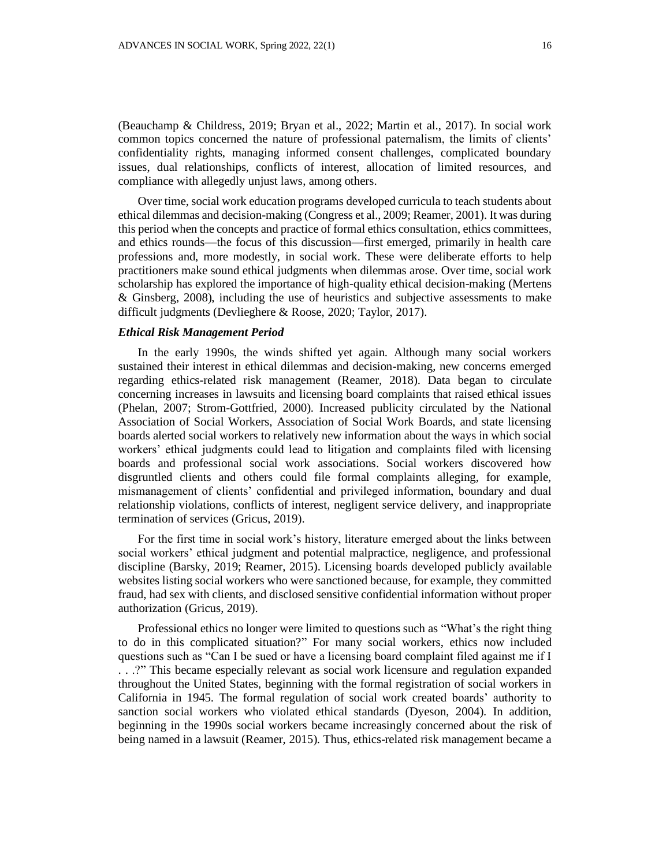(Beauchamp & Childress, 2019; Bryan et al., 2022; Martin et al., 2017). In social work common topics concerned the nature of professional paternalism, the limits of clients' confidentiality rights, managing informed consent challenges, complicated boundary issues, dual relationships, conflicts of interest, allocation of limited resources, and compliance with allegedly unjust laws, among others.

Over time, social work education programs developed curricula to teach students about ethical dilemmas and decision-making (Congress et al., 2009; Reamer, 2001). It was during this period when the concepts and practice of formal ethics consultation, ethics committees, and ethics rounds—the focus of this discussion—first emerged, primarily in health care professions and, more modestly, in social work. These were deliberate efforts to help practitioners make sound ethical judgments when dilemmas arose. Over time, social work scholarship has explored the importance of high-quality ethical decision-making (Mertens & Ginsberg, 2008), including the use of heuristics and subjective assessments to make difficult judgments (Devlieghere & Roose, 2020; Taylor, 2017).

### *Ethical Risk Management Period*

In the early 1990s, the winds shifted yet again. Although many social workers sustained their interest in ethical dilemmas and decision-making, new concerns emerged regarding ethics-related risk management (Reamer, 2018). Data began to circulate concerning increases in lawsuits and licensing board complaints that raised ethical issues (Phelan, 2007; Strom-Gottfried, 2000). Increased publicity circulated by the National Association of Social Workers, Association of Social Work Boards, and state licensing boards alerted social workers to relatively new information about the ways in which social workers' ethical judgments could lead to litigation and complaints filed with licensing boards and professional social work associations. Social workers discovered how disgruntled clients and others could file formal complaints alleging, for example, mismanagement of clients' confidential and privileged information, boundary and dual relationship violations, conflicts of interest, negligent service delivery, and inappropriate termination of services (Gricus, 2019).

For the first time in social work's history, literature emerged about the links between social workers' ethical judgment and potential malpractice, negligence, and professional discipline (Barsky, 2019; Reamer, 2015). Licensing boards developed publicly available websites listing social workers who were sanctioned because, for example, they committed fraud, had sex with clients, and disclosed sensitive confidential information without proper authorization (Gricus, 2019).

Professional ethics no longer were limited to questions such as "What's the right thing to do in this complicated situation?" For many social workers, ethics now included questions such as "Can I be sued or have a licensing board complaint filed against me if I . . .?" This became especially relevant as social work licensure and regulation expanded throughout the United States, beginning with the formal registration of social workers in California in 1945. The formal regulation of social work created boards' authority to sanction social workers who violated ethical standards (Dyeson, 2004). In addition, beginning in the 1990s social workers became increasingly concerned about the risk of being named in a lawsuit (Reamer, 2015). Thus, ethics-related risk management became a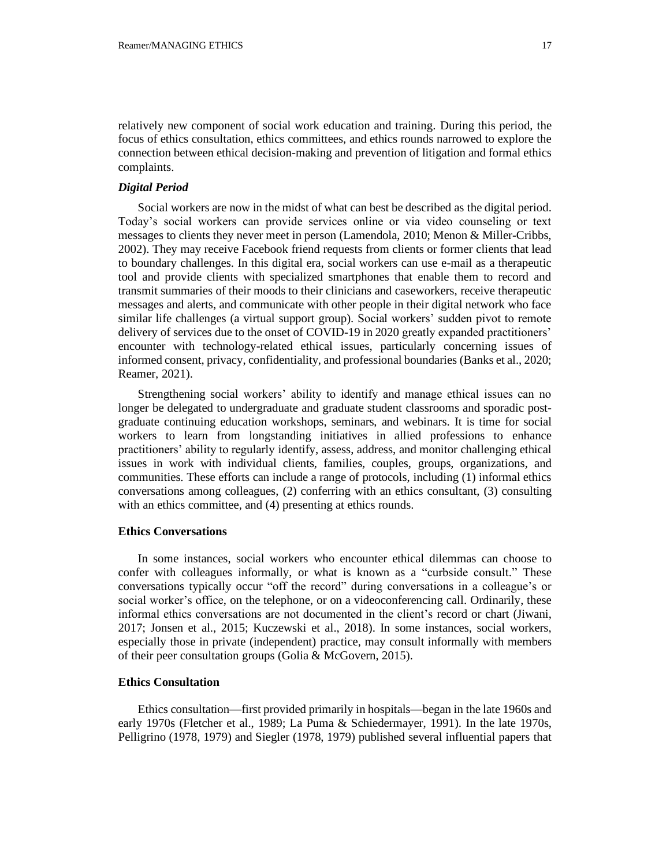relatively new component of social work education and training. During this period, the focus of ethics consultation, ethics committees, and ethics rounds narrowed to explore the connection between ethical decision-making and prevention of litigation and formal ethics complaints.

## *Digital Period*

Social workers are now in the midst of what can best be described as the digital period. Today's social workers can provide services online or via video counseling or text messages to clients they never meet in person (Lamendola, 2010; Menon & Miller-Cribbs, 2002). They may receive Facebook friend requests from clients or former clients that lead to boundary challenges. In this digital era, social workers can use e-mail as a therapeutic tool and provide clients with specialized smartphones that enable them to record and transmit summaries of their moods to their clinicians and caseworkers, receive therapeutic messages and alerts, and communicate with other people in their digital network who face similar life challenges (a virtual support group). Social workers' sudden pivot to remote delivery of services due to the onset of COVID-19 in 2020 greatly expanded practitioners' encounter with technology-related ethical issues, particularly concerning issues of informed consent, privacy, confidentiality, and professional boundaries (Banks et al., 2020; Reamer, 2021).

Strengthening social workers' ability to identify and manage ethical issues can no longer be delegated to undergraduate and graduate student classrooms and sporadic postgraduate continuing education workshops, seminars, and webinars. It is time for social workers to learn from longstanding initiatives in allied professions to enhance practitioners' ability to regularly identify, assess, address, and monitor challenging ethical issues in work with individual clients, families, couples, groups, organizations, and communities. These efforts can include a range of protocols, including (1) informal ethics conversations among colleagues, (2) conferring with an ethics consultant, (3) consulting with an ethics committee, and (4) presenting at ethics rounds.

#### **Ethics Conversations**

In some instances, social workers who encounter ethical dilemmas can choose to confer with colleagues informally, or what is known as a "curbside consult." These conversations typically occur "off the record" during conversations in a colleague's or social worker's office, on the telephone, or on a videoconferencing call. Ordinarily, these informal ethics conversations are not documented in the client's record or chart (Jiwani, 2017; Jonsen et al., 2015; Kuczewski et al., 2018). In some instances, social workers, especially those in private (independent) practice, may consult informally with members of their peer consultation groups (Golia & McGovern, 2015).

### **Ethics Consultation**

Ethics consultation—first provided primarily in hospitals—began in the late 1960s and early 1970s (Fletcher et al., 1989; La Puma & Schiedermayer, 1991). In the late 1970s, Pelligrino (1978, 1979) and Siegler (1978, 1979) published several influential papers that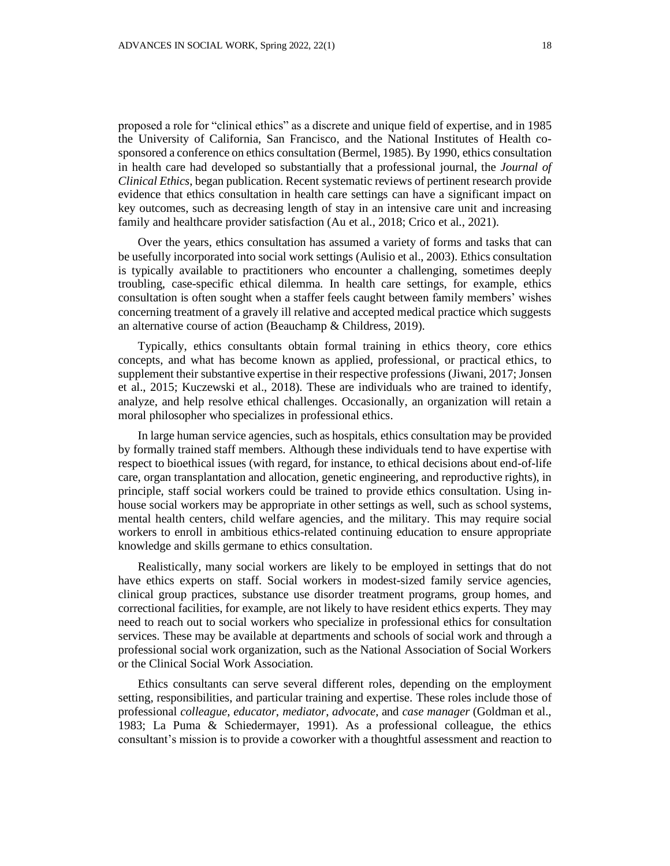proposed a role for "clinical ethics" as a discrete and unique field of expertise, and in 1985 the University of California, San Francisco, and the National Institutes of Health cosponsored a conference on ethics consultation (Bermel, 1985). By 1990, ethics consultation in health care had developed so substantially that a professional journal, the *Journal of Clinical Ethics*, began publication. Recent systematic reviews of pertinent research provide evidence that ethics consultation in health care settings can have a significant impact on key outcomes, such as decreasing length of stay in an intensive care unit and increasing family and healthcare provider satisfaction (Au et al., 2018; Crico et al., 2021).

Over the years, ethics consultation has assumed a variety of forms and tasks that can be usefully incorporated into social work settings (Aulisio et al., 2003). Ethics consultation is typically available to practitioners who encounter a challenging, sometimes deeply troubling, case-specific ethical dilemma. In health care settings, for example, ethics consultation is often sought when a staffer feels caught between family members' wishes concerning treatment of a gravely ill relative and accepted medical practice which suggests an alternative course of action (Beauchamp & Childress, 2019).

Typically, ethics consultants obtain formal training in ethics theory, core ethics concepts, and what has become known as applied, professional, or practical ethics, to supplement their substantive expertise in their respective professions (Jiwani, 2017; Jonsen et al., 2015; Kuczewski et al., 2018). These are individuals who are trained to identify, analyze, and help resolve ethical challenges. Occasionally, an organization will retain a moral philosopher who specializes in professional ethics.

In large human service agencies, such as hospitals, ethics consultation may be provided by formally trained staff members. Although these individuals tend to have expertise with respect to bioethical issues (with regard, for instance, to ethical decisions about end-of-life care, organ transplantation and allocation, genetic engineering, and reproductive rights), in principle, staff social workers could be trained to provide ethics consultation. Using inhouse social workers may be appropriate in other settings as well, such as school systems, mental health centers, child welfare agencies, and the military. This may require social workers to enroll in ambitious ethics-related continuing education to ensure appropriate knowledge and skills germane to ethics consultation.

Realistically, many social workers are likely to be employed in settings that do not have ethics experts on staff. Social workers in modest-sized family service agencies, clinical group practices, substance use disorder treatment programs, group homes, and correctional facilities, for example, are not likely to have resident ethics experts. They may need to reach out to social workers who specialize in professional ethics for consultation services. These may be available at departments and schools of social work and through a professional social work organization, such as the National Association of Social Workers or the Clinical Social Work Association.

Ethics consultants can serve several different roles, depending on the employment setting, responsibilities, and particular training and expertise. These roles include those of professional *colleague*, *educator*, *mediator*, *advocate*, and *case manager* (Goldman et al., 1983; La Puma & Schiedermayer, 1991). As a professional colleague, the ethics consultant's mission is to provide a coworker with a thoughtful assessment and reaction to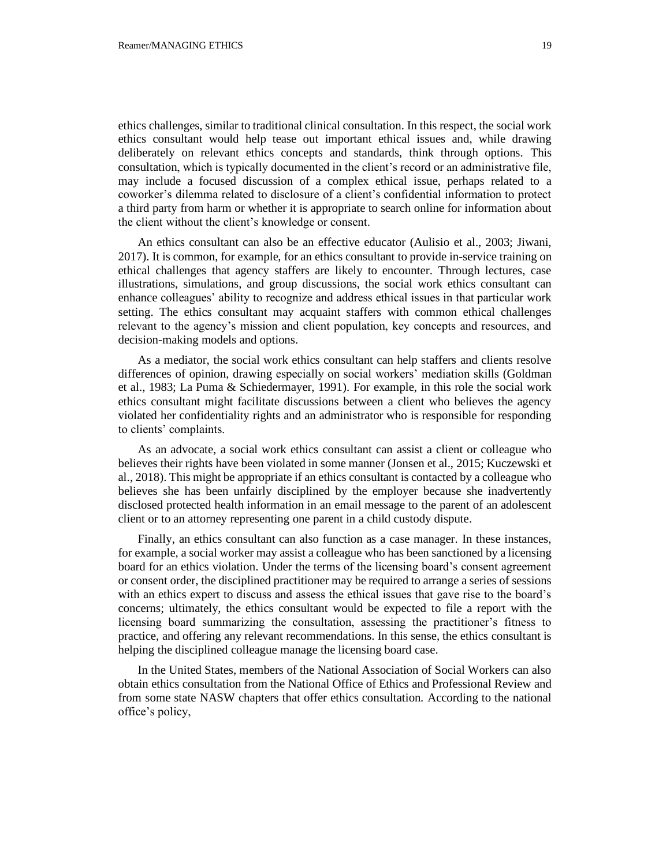ethics challenges, similar to traditional clinical consultation. In this respect, the social work ethics consultant would help tease out important ethical issues and, while drawing deliberately on relevant ethics concepts and standards, think through options. This consultation, which is typically documented in the client's record or an administrative file, may include a focused discussion of a complex ethical issue, perhaps related to a coworker's dilemma related to disclosure of a client's confidential information to protect a third party from harm or whether it is appropriate to search online for information about the client without the client's knowledge or consent.

An ethics consultant can also be an effective educator (Aulisio et al., 2003; Jiwani, 2017). It is common, for example, for an ethics consultant to provide in-service training on ethical challenges that agency staffers are likely to encounter. Through lectures, case illustrations, simulations, and group discussions, the social work ethics consultant can enhance colleagues' ability to recognize and address ethical issues in that particular work setting. The ethics consultant may acquaint staffers with common ethical challenges relevant to the agency's mission and client population, key concepts and resources, and decision-making models and options.

As a mediator, the social work ethics consultant can help staffers and clients resolve differences of opinion, drawing especially on social workers' mediation skills (Goldman et al., 1983; La Puma & Schiedermayer, 1991). For example, in this role the social work ethics consultant might facilitate discussions between a client who believes the agency violated her confidentiality rights and an administrator who is responsible for responding to clients' complaints.

As an advocate, a social work ethics consultant can assist a client or colleague who believes their rights have been violated in some manner (Jonsen et al., 2015; Kuczewski et al., 2018). This might be appropriate if an ethics consultant is contacted by a colleague who believes she has been unfairly disciplined by the employer because she inadvertently disclosed protected health information in an email message to the parent of an adolescent client or to an attorney representing one parent in a child custody dispute.

Finally, an ethics consultant can also function as a case manager. In these instances, for example, a social worker may assist a colleague who has been sanctioned by a licensing board for an ethics violation. Under the terms of the licensing board's consent agreement or consent order, the disciplined practitioner may be required to arrange a series of sessions with an ethics expert to discuss and assess the ethical issues that gave rise to the board's concerns; ultimately, the ethics consultant would be expected to file a report with the licensing board summarizing the consultation, assessing the practitioner's fitness to practice, and offering any relevant recommendations. In this sense, the ethics consultant is helping the disciplined colleague manage the licensing board case.

In the United States, members of the National Association of Social Workers can also obtain ethics consultation from the National Office of Ethics and Professional Review and from some state NASW chapters that offer ethics consultation. According to the national office's policy,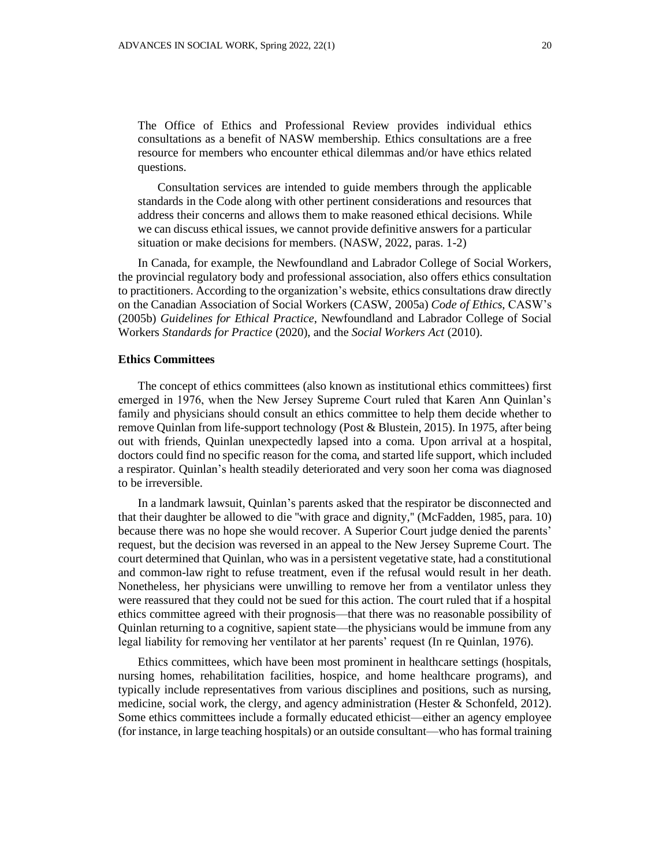The Office of Ethics and Professional Review provides individual ethics consultations as a benefit of NASW membership. Ethics consultations are a free resource for members who encounter ethical dilemmas and/or have ethics related questions.

Consultation services are intended to guide members through the applicable standards in the Code along with other pertinent considerations and resources that address their concerns and allows them to make reasoned ethical decisions. While we can discuss ethical issues, we cannot provide definitive answers for a particular situation or make decisions for members. (NASW, 2022, paras. 1-2)

In Canada, for example, the Newfoundland and Labrador College of Social Workers, the provincial regulatory body and professional association, also offers ethics consultation to practitioners. According to the organization's website, ethics consultations draw directly on the Canadian Association of Social Workers (CASW, 2005a) *Code of Ethics*, CASW's (2005b) *Guidelines for Ethical Practice*, Newfoundland and Labrador College of Social Workers *Standards for Practice* (2020), and the *Social Workers Act* (2010).

#### **Ethics Committees**

The concept of ethics committees (also known as institutional ethics committees) first emerged in 1976, when the New Jersey Supreme Court ruled that Karen Ann Quinlan's family and physicians should consult an ethics committee to help them decide whether to remove Quinlan from life-support technology (Post & Blustein, 2015). In 1975, after being out with friends, Quinlan unexpectedly lapsed into a coma. Upon arrival at a hospital, doctors could find no specific reason for the coma, and started life support, which included a respirator. Quinlan's health steadily deteriorated and very soon her coma was diagnosed to be irreversible.

In a landmark lawsuit, Quinlan's parents asked that the respirator be disconnected and that their daughter be allowed to die ''with grace and dignity,'' (McFadden, 1985, para. 10) because there was no hope she would recover. A Superior Court judge denied the parents' request, but the decision was reversed in an appeal to the New Jersey Supreme Court. The court determined that Quinlan, who was in a persistent vegetative state, had a constitutional and common-law [right](https://journalofethics.ama-assn.org/2006/09/hlaw1-0609.html) to refuse treatment, even if the refusal would result in her death. Nonetheless, her physicians were unwilling to remove her from a ventilator unless they were reassured that they could not be sued for this action. The court ruled that if a hospital ethics committee agreed with their prognosis—that there was no reasonable possibility of Quinlan returning to a cognitive, sapient state—the physicians would be immune from any legal liability for removing her ventilator at her parents' request (In re Quinlan, 1976).

Ethics committees, which have been most prominent in healthcare settings (hospitals, nursing homes, rehabilitation facilities, hospice, and home healthcare programs), and typically include representatives from various disciplines and positions, such as nursing, medicine, social work, the clergy, and agency administration (Hester & Schonfeld, 2012). Some ethics committees include a formally educated ethicist—either an agency employee (for instance, in large teaching hospitals) or an outside consultant—who has formal training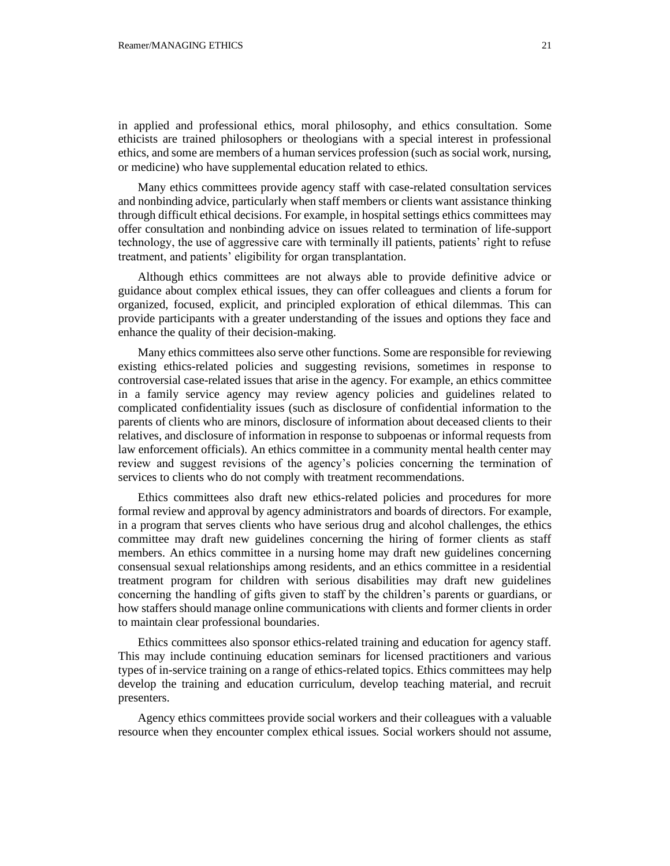in applied and professional ethics, moral philosophy, and ethics consultation. Some ethicists are trained philosophers or theologians with a special interest in professional ethics, and some are members of a human services profession (such as social work, nursing, or medicine) who have supplemental education related to ethics.

Many ethics committees provide agency staff with case-related consultation services and nonbinding advice, particularly when staff members or clients want assistance thinking through difficult ethical decisions. For example, in hospital settings ethics committees may offer consultation and nonbinding advice on issues related to termination of life-support technology, the use of aggressive care with terminally ill patients, patients' right to refuse treatment, and patients' eligibility for organ transplantation.

Although ethics committees are not always able to provide definitive advice or guidance about complex ethical issues, they can offer colleagues and clients a forum for organized, focused, explicit, and principled exploration of ethical dilemmas. This can provide participants with a greater understanding of the issues and options they face and enhance the quality of their decision-making.

Many ethics committees also serve other functions. Some are responsible for reviewing existing ethics-related policies and suggesting revisions, sometimes in response to controversial case-related issues that arise in the agency. For example, an ethics committee in a family service agency may review agency policies and guidelines related to complicated confidentiality issues (such as disclosure of confidential information to the parents of clients who are minors, disclosure of information about deceased clients to their relatives, and disclosure of information in response to subpoenas or informal requests from law enforcement officials). An ethics committee in a community mental health center may review and suggest revisions of the agency's policies concerning the termination of services to clients who do not comply with treatment recommendations.

Ethics committees also draft new ethics-related policies and procedures for more formal review and approval by agency administrators and boards of directors. For example, in a program that serves clients who have serious drug and alcohol challenges, the ethics committee may draft new guidelines concerning the hiring of former clients as staff members. An ethics committee in a nursing home may draft new guidelines concerning consensual sexual relationships among residents, and an ethics committee in a residential treatment program for children with serious disabilities may draft new guidelines concerning the handling of gifts given to staff by the children's parents or guardians, or how staffers should manage online communications with clients and former clients in order to maintain clear professional boundaries.

Ethics committees also sponsor ethics-related training and education for agency staff. This may include continuing education seminars for licensed practitioners and various types of in-service training on a range of ethics-related topics. Ethics committees may help develop the training and education curriculum, develop teaching material, and recruit presenters.

Agency ethics committees provide social workers and their colleagues with a valuable resource when they encounter complex ethical issues. Social workers should not assume,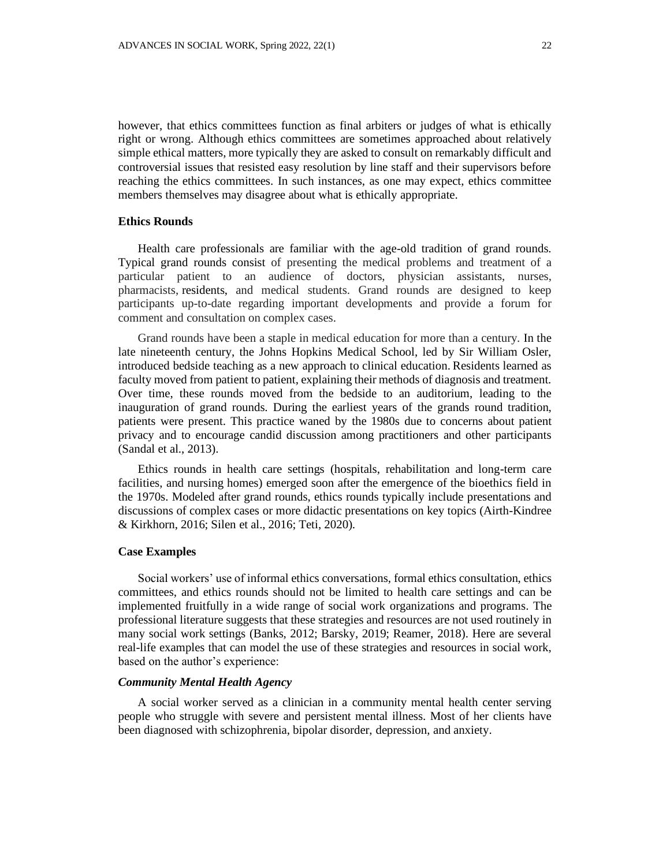however, that ethics committees function as final arbiters or judges of what is ethically right or wrong. Although ethics committees are sometimes approached about relatively simple ethical matters, more typically they are asked to consult on remarkably difficult and controversial issues that resisted easy resolution by line staff and their supervisors before reaching the ethics committees. In such instances, as one may expect, ethics committee members themselves may disagree about what is ethically appropriate.

#### **Ethics Rounds**

Health care professionals are familiar with the age-old tradition of grand rounds. Typical grand rounds consist of presenting the medical problems and treatment of a particular patient to an audience of doctors, physician assistants, nurses, pharmacists, [residents,](https://en.wikipedia.org/wiki/Residency_(medicine)) and medical students. Grand rounds are designed to keep participants up-to-date regarding important developments and provide a forum for comment and consultation on complex cases.

Grand rounds have been a staple in medical education for more than a century. In the late nineteenth century, the Johns Hopkins Medical School, led by Sir William Osler, introduced bedside teaching as a new approach to clinical education. Residents learned as faculty moved from patient to patient, explaining their methods of diagnosis and treatment. Over time, these rounds moved from the bedside to an auditorium, leading to the inauguration of grand rounds. During the earliest years of the grands round tradition, patients were present. This practice waned by the 1980s due to concerns about patient privacy and to encourage candid discussion among practitioners and other participants (Sandal et al., 2013).

Ethics rounds in health care settings (hospitals, rehabilitation and long-term care facilities, and nursing homes) emerged soon after the emergence of the bioethics field in the 1970s. Modeled after grand rounds, ethics rounds typically include presentations and discussions of complex cases or more didactic presentations on key topics (Airth-Kindree & Kirkhorn, 2016; Silen et al., 2016; Teti, 2020).

#### **Case Examples**

Social workers' use of informal ethics conversations, formal ethics consultation, ethics committees, and ethics rounds should not be limited to health care settings and can be implemented fruitfully in a wide range of social work organizations and programs. The professional literature suggests that these strategies and resources are not used routinely in many social work settings (Banks, 2012; Barsky, 2019; Reamer, 2018). Here are several real-life examples that can model the use of these strategies and resources in social work, based on the author's experience:

### *Community Mental Health Agency*

A social worker served as a clinician in a community mental health center serving people who struggle with severe and persistent mental illness. Most of her clients have been diagnosed with schizophrenia, bipolar disorder, depression, and anxiety.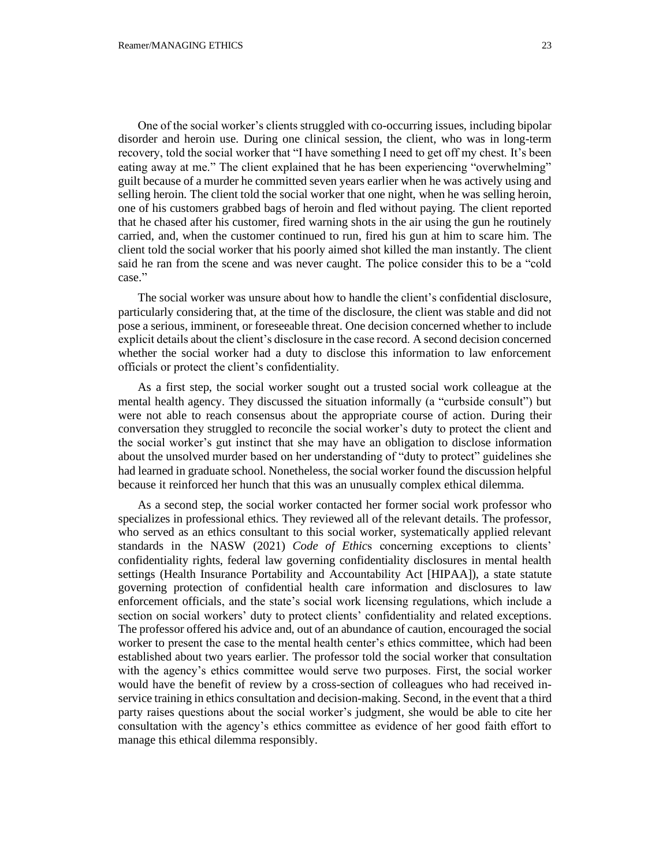One of the social worker's clients struggled with co-occurring issues, including bipolar disorder and heroin use. During one clinical session, the client, who was in long-term recovery, told the social worker that "I have something I need to get off my chest. It's been eating away at me." The client explained that he has been experiencing "overwhelming" guilt because of a murder he committed seven years earlier when he was actively using and selling heroin. The client told the social worker that one night, when he was selling heroin, one of his customers grabbed bags of heroin and fled without paying. The client reported that he chased after his customer, fired warning shots in the air using the gun he routinely carried, and, when the customer continued to run, fired his gun at him to scare him. The client told the social worker that his poorly aimed shot killed the man instantly. The client said he ran from the scene and was never caught. The police consider this to be a "cold case."

The social worker was unsure about how to handle the client's confidential disclosure, particularly considering that, at the time of the disclosure, the client was stable and did not pose a serious, imminent, or foreseeable threat. One decision concerned whether to include explicit details about the client's disclosure in the case record. A second decision concerned whether the social worker had a duty to disclose this information to law enforcement officials or protect the client's confidentiality.

As a first step, the social worker sought out a trusted social work colleague at the mental health agency. They discussed the situation informally (a "curbside consult") but were not able to reach consensus about the appropriate course of action. During their conversation they struggled to reconcile the social worker's duty to protect the client and the social worker's gut instinct that she may have an obligation to disclose information about the unsolved murder based on her understanding of "duty to protect" guidelines she had learned in graduate school. Nonetheless, the social worker found the discussion helpful because it reinforced her hunch that this was an unusually complex ethical dilemma.

As a second step, the social worker contacted her former social work professor who specializes in professional ethics. They reviewed all of the relevant details. The professor, who served as an ethics consultant to this social worker, systematically applied relevant standards in the NASW (2021) *Code of Ethic*s concerning exceptions to clients' confidentiality rights, federal law governing confidentiality disclosures in mental health settings (Health Insurance Portability and Accountability Act [HIPAA]), a state statute governing protection of confidential health care information and disclosures to law enforcement officials, and the state's social work licensing regulations, which include a section on social workers' duty to protect clients' confidentiality and related exceptions. The professor offered his advice and, out of an abundance of caution, encouraged the social worker to present the case to the mental health center's ethics committee, which had been established about two years earlier. The professor told the social worker that consultation with the agency's ethics committee would serve two purposes. First, the social worker would have the benefit of review by a cross-section of colleagues who had received inservice training in ethics consultation and decision-making. Second, in the event that a third party raises questions about the social worker's judgment, she would be able to cite her consultation with the agency's ethics committee as evidence of her good faith effort to manage this ethical dilemma responsibly.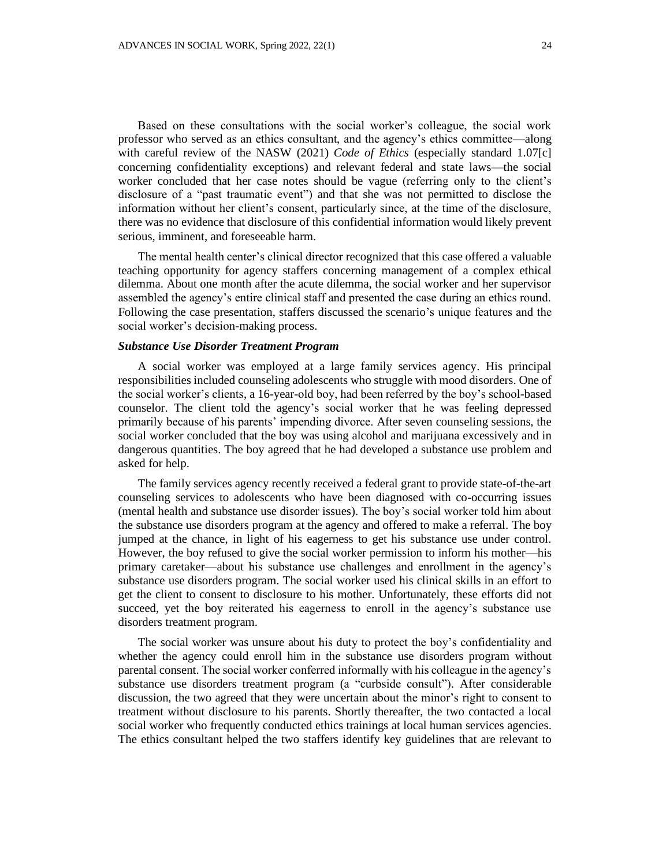Based on these consultations with the social worker's colleague, the social work professor who served as an ethics consultant, and the agency's ethics committee—along with careful review of the NASW (2021) *Code of Ethics* (especially standard 1.07[c] concerning confidentiality exceptions) and relevant federal and state laws—the social worker concluded that her case notes should be vague (referring only to the client's disclosure of a "past traumatic event") and that she was not permitted to disclose the information without her client's consent, particularly since, at the time of the disclosure, there was no evidence that disclosure of this confidential information would likely prevent serious, imminent, and foreseeable harm.

The mental health center's clinical director recognized that this case offered a valuable teaching opportunity for agency staffers concerning management of a complex ethical dilemma. About one month after the acute dilemma, the social worker and her supervisor assembled the agency's entire clinical staff and presented the case during an ethics round. Following the case presentation, staffers discussed the scenario's unique features and the social worker's decision-making process.

### *Substance Use Disorder Treatment Program*

A social worker was employed at a large family services agency. His principal responsibilities included counseling adolescents who struggle with mood disorders. One of the social worker's clients, a 16-year-old boy, had been referred by the boy's school-based counselor. The client told the agency's social worker that he was feeling depressed primarily because of his parents' impending divorce. After seven counseling sessions, the social worker concluded that the boy was using alcohol and marijuana excessively and in dangerous quantities. The boy agreed that he had developed a substance use problem and asked for help.

The family services agency recently received a federal grant to provide state-of-the-art counseling services to adolescents who have been diagnosed with co-occurring issues (mental health and substance use disorder issues). The boy's social worker told him about the substance use disorders program at the agency and offered to make a referral. The boy jumped at the chance, in light of his eagerness to get his substance use under control. However, the boy refused to give the social worker permission to inform his mother—his primary caretaker—about his substance use challenges and enrollment in the agency's substance use disorders program. The social worker used his clinical skills in an effort to get the client to consent to disclosure to his mother. Unfortunately, these efforts did not succeed, yet the boy reiterated his eagerness to enroll in the agency's substance use disorders treatment program.

The social worker was unsure about his duty to protect the boy's confidentiality and whether the agency could enroll him in the substance use disorders program without parental consent. The social worker conferred informally with his colleague in the agency's substance use disorders treatment program (a "curbside consult"). After considerable discussion, the two agreed that they were uncertain about the minor's right to consent to treatment without disclosure to his parents. Shortly thereafter, the two contacted a local social worker who frequently conducted ethics trainings at local human services agencies. The ethics consultant helped the two staffers identify key guidelines that are relevant to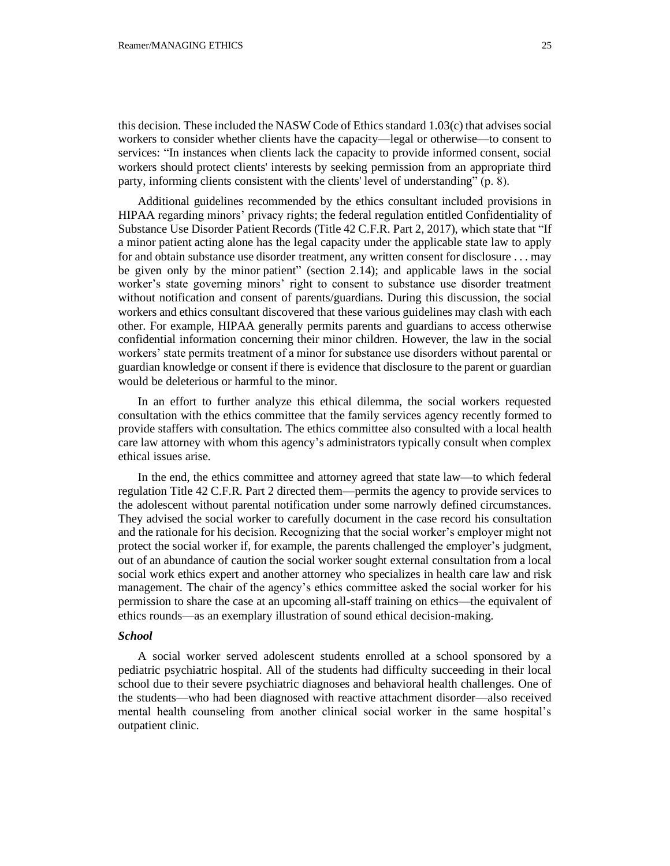this decision. These included the NASW Code of Ethics standard 1.03(c) that advises social workers to consider whether clients have the capacity—legal or otherwise—to consent to services: "In instances when clients lack the capacity to provide informed consent, social workers should protect clients' interests by seeking permission from an appropriate third party, informing clients consistent with the clients' level of understanding" (p. 8).

Additional guidelines recommended by the ethics consultant included provisions in HIPAA regarding minors' privacy rights; the federal regulation entitled Confidentiality of Substance Use Disorder Patient Records (Title 42 C.F.R. Part 2, 2017), which state that "If a minor [patient](https://www.law.cornell.edu/definitions/index.php?width=840&height=800&iframe=true&def_id=aa173e270b5d7c2093bfe50f1a2d0c00&term_occur=999&term_src=Title:42:Chapter:I:Subchapter:A:Part:2:Subpart:B:2.14) [acting](https://www.law.cornell.edu/definitions/index.php?width=840&height=800&iframe=true&def_id=a78e098f12f0351f4a265a6f68823e4e&term_occur=999&term_src=Title:42:Chapter:I:Subchapter:A:Part:2:Subpart:B:2.14) alone has the legal capacity under the applicable state law to apply for and obtain [substance use disorder](https://www.law.cornell.edu/definitions/index.php?width=840&height=800&iframe=true&def_id=61a953a9609c7df53daccf0883c43204&term_occur=999&term_src=Title:42:Chapter:I:Subchapter:A:Part:2:Subpart:B:2.14) [treatment,](https://www.law.cornell.edu/definitions/index.php?width=840&height=800&iframe=true&def_id=c7acafb2978c42d2e3be10d443769d74&term_occur=999&term_src=Title:42:Chapter:I:Subchapter:A:Part:2:Subpart:B:2.14) any written consent for disclosure . . . may be given only by the minor [patient"](https://www.law.cornell.edu/definitions/index.php?width=840&height=800&iframe=true&def_id=aa173e270b5d7c2093bfe50f1a2d0c00&term_occur=999&term_src=Title:42:Chapter:I:Subchapter:A:Part:2:Subpart:B:2.14) (section 2.14); and applicable laws in the social worker's state governing minors' right to consent to substance use disorder treatment without notification and consent of parents/guardians. During this discussion, the social workers and ethics consultant discovered that these various guidelines may clash with each other. For example, HIPAA generally permits parents and guardians to access otherwise confidential information concerning their minor children. However, the law in the social workers' state permits treatment of a minor for substance use disorders without parental or guardian knowledge or consent if there is evidence that disclosure to the parent or guardian would be deleterious or harmful to the minor.

In an effort to further analyze this ethical dilemma, the social workers requested consultation with the ethics committee that the family services agency recently formed to provide staffers with consultation. The ethics committee also consulted with a local health care law attorney with whom this agency's administrators typically consult when complex ethical issues arise.

In the end, the ethics committee and attorney agreed that state law—to which federal regulation Title 42 C.F.R. Part 2 directed them—permits the agency to provide services to the adolescent without parental notification under some narrowly defined circumstances. They advised the social worker to carefully document in the case record his consultation and the rationale for his decision. Recognizing that the social worker's employer might not protect the social worker if, for example, the parents challenged the employer's judgment, out of an abundance of caution the social worker sought external consultation from a local social work ethics expert and another attorney who specializes in health care law and risk management. The chair of the agency's ethics committee asked the social worker for his permission to share the case at an upcoming all-staff training on ethics—the equivalent of ethics rounds—as an exemplary illustration of sound ethical decision-making.

# *School*

A social worker served adolescent students enrolled at a school sponsored by a pediatric psychiatric hospital. All of the students had difficulty succeeding in their local school due to their severe psychiatric diagnoses and behavioral health challenges. One of the students—who had been diagnosed with reactive attachment disorder—also received mental health counseling from another clinical social worker in the same hospital's outpatient clinic.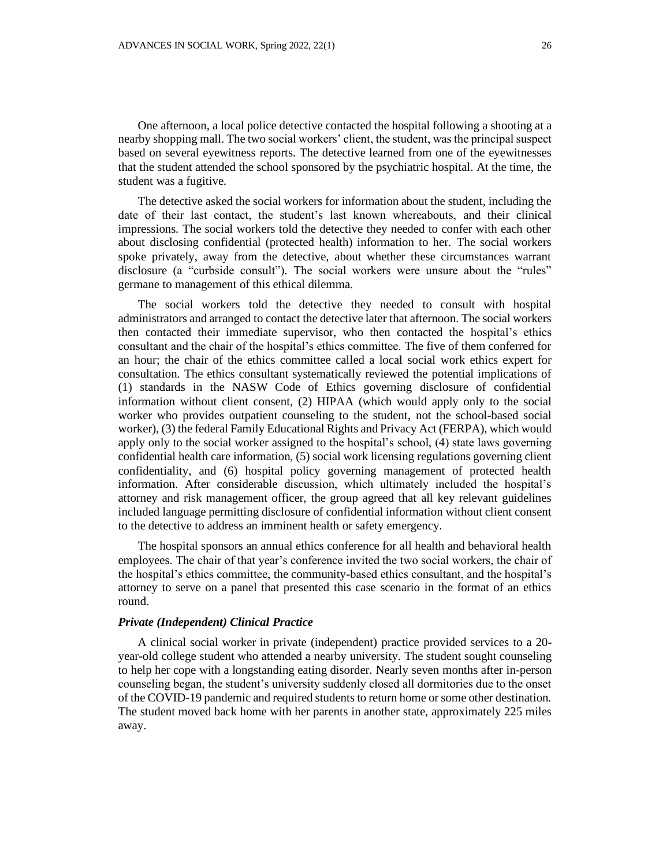One afternoon, a local police detective contacted the hospital following a shooting at a nearby shopping mall. The two social workers' client, the student, was the principal suspect based on several eyewitness reports. The detective learned from one of the eyewitnesses that the student attended the school sponsored by the psychiatric hospital. At the time, the student was a fugitive.

The detective asked the social workers for information about the student, including the date of their last contact, the student's last known whereabouts, and their clinical impressions. The social workers told the detective they needed to confer with each other about disclosing confidential (protected health) information to her. The social workers spoke privately, away from the detective, about whether these circumstances warrant disclosure (a "curbside consult"). The social workers were unsure about the "rules" germane to management of this ethical dilemma.

The social workers told the detective they needed to consult with hospital administrators and arranged to contact the detective later that afternoon. The social workers then contacted their immediate supervisor, who then contacted the hospital's ethics consultant and the chair of the hospital's ethics committee. The five of them conferred for an hour; the chair of the ethics committee called a local social work ethics expert for consultation. The ethics consultant systematically reviewed the potential implications of (1) standards in the NASW Code of Ethics governing disclosure of confidential information without client consent, (2) HIPAA (which would apply only to the social worker who provides outpatient counseling to the student, not the school-based social worker), (3) the federal Family Educational Rights and Privacy Act (FERPA), which would apply only to the social worker assigned to the hospital's school, (4) state laws governing confidential health care information, (5) social work licensing regulations governing client confidentiality, and (6) hospital policy governing management of protected health information. After considerable discussion, which ultimately included the hospital's attorney and risk management officer, the group agreed that all key relevant guidelines included language permitting disclosure of confidential information without client consent to the detective to address an imminent health or safety emergency.

The hospital sponsors an annual ethics conference for all health and behavioral health employees. The chair of that year's conference invited the two social workers, the chair of the hospital's ethics committee, the community-based ethics consultant, and the hospital's attorney to serve on a panel that presented this case scenario in the format of an ethics round.

## *Private (Independent) Clinical Practice*

A clinical social worker in private (independent) practice provided services to a 20 year-old college student who attended a nearby university. The student sought counseling to help her cope with a longstanding eating disorder. Nearly seven months after in-person counseling began, the student's university suddenly closed all dormitories due to the onset of the COVID-19 pandemic and required students to return home or some other destination. The student moved back home with her parents in another state, approximately 225 miles away.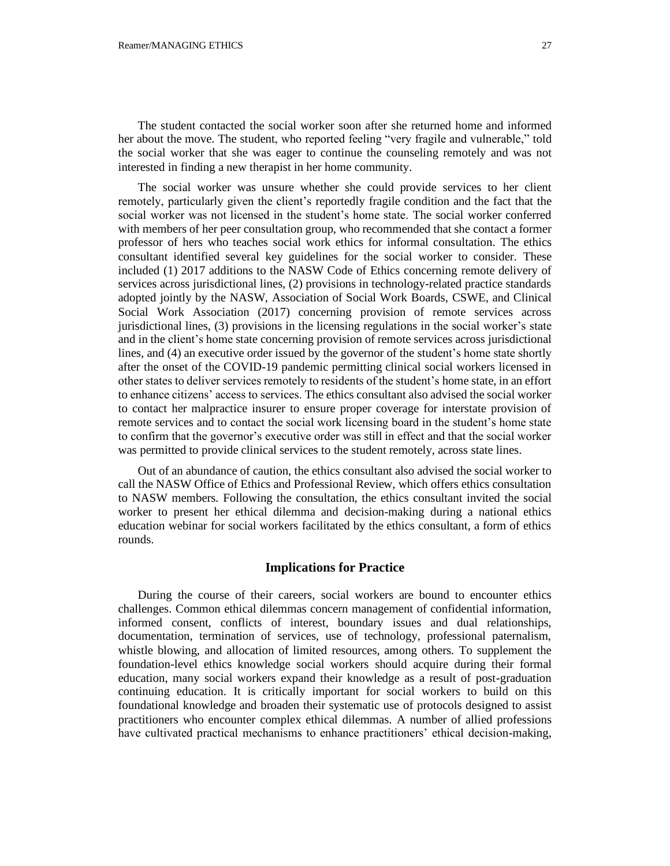The student contacted the social worker soon after she returned home and informed her about the move. The student, who reported feeling "very fragile and vulnerable," told the social worker that she was eager to continue the counseling remotely and was not interested in finding a new therapist in her home community.

The social worker was unsure whether she could provide services to her client remotely, particularly given the client's reportedly fragile condition and the fact that the social worker was not licensed in the student's home state. The social worker conferred with members of her peer consultation group, who recommended that she contact a former professor of hers who teaches social work ethics for informal consultation. The ethics consultant identified several key guidelines for the social worker to consider. These included (1) 2017 additions to the NASW Code of Ethics concerning remote delivery of services across jurisdictional lines, (2) provisions in technology-related practice standards adopted jointly by the NASW, Association of Social Work Boards, CSWE, and Clinical Social Work Association (2017) concerning provision of remote services across jurisdictional lines, (3) provisions in the licensing regulations in the social worker's state and in the client's home state concerning provision of remote services across jurisdictional lines, and (4) an executive order issued by the governor of the student's home state shortly after the onset of the COVID-19 pandemic permitting clinical social workers licensed in other states to deliver services remotely to residents of the student's home state, in an effort to enhance citizens' access to services. The ethics consultant also advised the social worker to contact her malpractice insurer to ensure proper coverage for interstate provision of remote services and to contact the social work licensing board in the student's home state to confirm that the governor's executive order was still in effect and that the social worker was permitted to provide clinical services to the student remotely, across state lines.

Out of an abundance of caution, the ethics consultant also advised the social worker to call the NASW Office of Ethics and Professional Review, which offers ethics consultation to NASW members. Following the consultation, the ethics consultant invited the social worker to present her ethical dilemma and decision-making during a national ethics education webinar for social workers facilitated by the ethics consultant, a form of ethics rounds.

## **Implications for Practice**

During the course of their careers, social workers are bound to encounter ethics challenges. Common ethical dilemmas concern management of confidential information, informed consent, conflicts of interest, boundary issues and dual relationships, documentation, termination of services, use of technology, professional paternalism, whistle blowing, and allocation of limited resources, among others. To supplement the foundation-level ethics knowledge social workers should acquire during their formal education, many social workers expand their knowledge as a result of post-graduation continuing education. It is critically important for social workers to build on this foundational knowledge and broaden their systematic use of protocols designed to assist practitioners who encounter complex ethical dilemmas. A number of allied professions have cultivated practical mechanisms to enhance practitioners' ethical decision-making,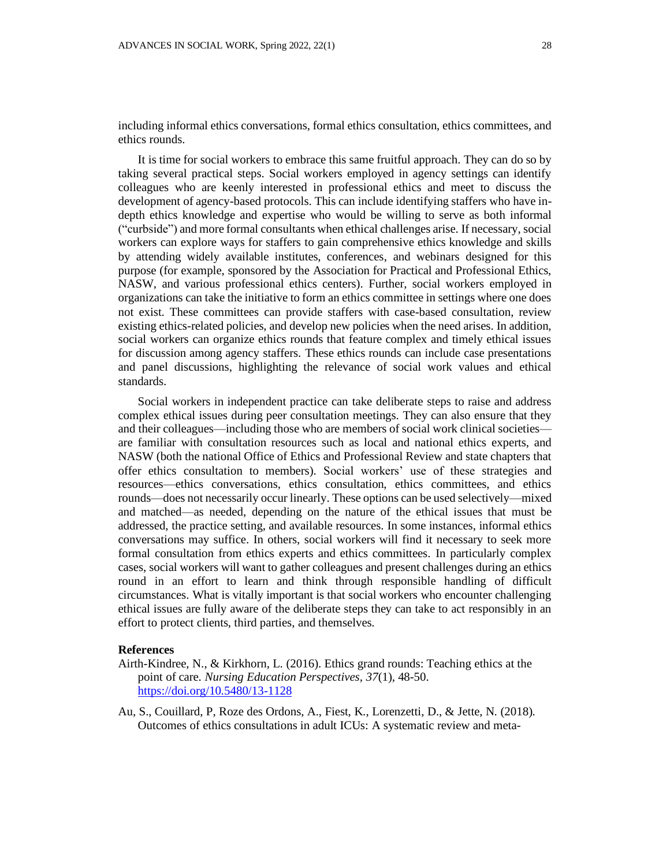including informal ethics conversations, formal ethics consultation, ethics committees, and ethics rounds.

It is time for social workers to embrace this same fruitful approach. They can do so by taking several practical steps. Social workers employed in agency settings can identify colleagues who are keenly interested in professional ethics and meet to discuss the development of agency-based protocols. This can include identifying staffers who have indepth ethics knowledge and expertise who would be willing to serve as both informal ("curbside") and more formal consultants when ethical challenges arise. If necessary, social workers can explore ways for staffers to gain comprehensive ethics knowledge and skills by attending widely available institutes, conferences, and webinars designed for this purpose (for example, sponsored by the Association for Practical and Professional Ethics, NASW, and various professional ethics centers). Further, social workers employed in organizations can take the initiative to form an ethics committee in settings where one does not exist. These committees can provide staffers with case-based consultation, review existing ethics-related policies, and develop new policies when the need arises. In addition, social workers can organize ethics rounds that feature complex and timely ethical issues for discussion among agency staffers. These ethics rounds can include case presentations and panel discussions, highlighting the relevance of social work values and ethical standards.

Social workers in independent practice can take deliberate steps to raise and address complex ethical issues during peer consultation meetings. They can also ensure that they and their colleagues—including those who are members of social work clinical societies are familiar with consultation resources such as local and national ethics experts, and NASW (both the national Office of Ethics and Professional Review and state chapters that offer ethics consultation to members). Social workers' use of these strategies and resources—ethics conversations, ethics consultation, ethics committees, and ethics rounds—does not necessarily occur linearly. These options can be used selectively—mixed and matched—as needed, depending on the nature of the ethical issues that must be addressed, the practice setting, and available resources. In some instances, informal ethics conversations may suffice. In others, social workers will find it necessary to seek more formal consultation from ethics experts and ethics committees. In particularly complex cases, social workers will want to gather colleagues and present challenges during an ethics round in an effort to learn and think through responsible handling of difficult circumstances. What is vitally important is that social workers who encounter challenging ethical issues are fully aware of the deliberate steps they can take to act responsibly in an effort to protect clients, third parties, and themselves.

## **References**

- Airth-Kindree, N., & Kirkhorn, L. (2016). Ethics grand rounds: Teaching ethics at the point of care. *Nursing Education Perspectives, 37*(1), 48-50. <https://doi.org/10.5480/13-1128>
- Au, S., Couillard, P, Roze des Ordons, A., Fiest, K., Lorenzetti, D., & Jette, N. (2018). Outcomes of ethics consultations in adult ICUs: A systematic review and meta-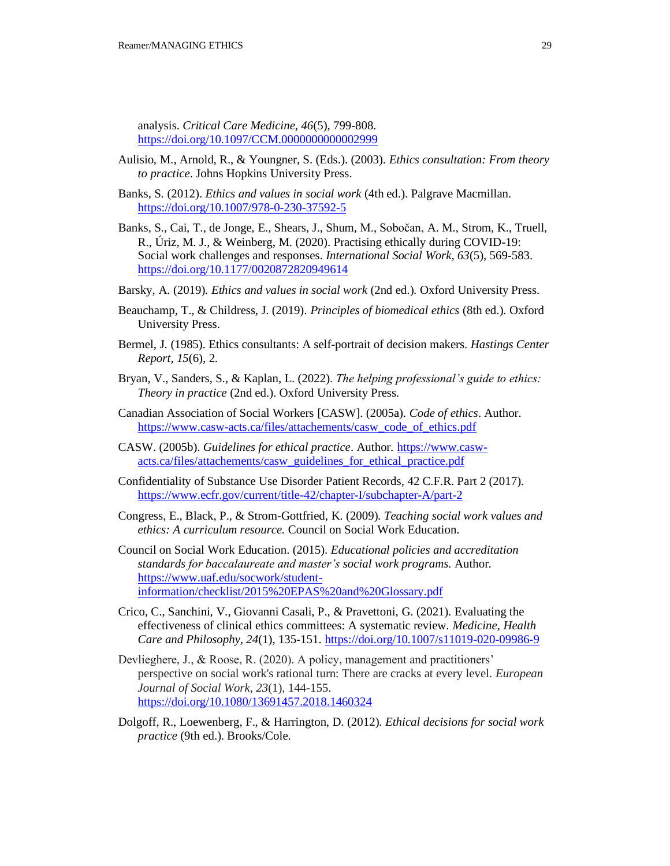analysis. *Critical Care Medicine, 46*(5), 799-808. <https://doi.org/10.1097/CCM.0000000000002999>

- Aulisio, M., Arnold, R., & Youngner, S. (Eds.). (2003). *Ethics consultation: From theory to practice*. Johns Hopkins University Press.
- Banks, S. (2012). *Ethics and values in social work* (4th ed.). Palgrave Macmillan. <https://doi.org/10.1007/978-0-230-37592-5>
- Banks, S., Cai, T., de Jonge, E., Shears, J., Shum, M., Sobočan, A. M., Strom, K., Truell, R., Úriz, M. J., & Weinberg, M. (2020). Practising ethically during COVID-19: Social work challenges and responses. *International Social Work, 63*(5), 569-583. <https://doi.org/10.1177/0020872820949614>
- Barsky, A. (2019). *Ethics and values in social work* (2nd ed.)*.* Oxford University Press.
- Beauchamp, T., & Childress, J. (2019). *Principles of biomedical ethics* (8th ed.). Oxford University Press.
- Bermel, J. (1985). Ethics consultants: A self-portrait of decision makers. *Hastings Center Report, 15*(6), 2.
- Bryan, V., Sanders, S., & Kaplan, L. (2022). *The helping professional's guide to ethics: Theory in practice* (2nd ed.). Oxford University Press.
- Canadian Association of Social Workers [CASW]. (2005a). *Code of ethics*. Author. [https://www.casw-acts.ca/files/attachements/casw\\_code\\_of\\_ethics.pdf](https://www.casw-acts.ca/files/attachements/casw_code_of_ethics.pdf)
- CASW. (2005b). *Guidelines for ethical practice*. Author. [https://www.casw](https://www.casw-acts.ca/files/attachements/casw_guidelines_for_ethical_practice.pdf)[acts.ca/files/attachements/casw\\_guidelines\\_for\\_ethical\\_practice.pdf](https://www.casw-acts.ca/files/attachements/casw_guidelines_for_ethical_practice.pdf)
- Confidentiality of Substance Use Disorder Patient Records, 42 C.F.R. Part 2 (2017). <https://www.ecfr.gov/current/title-42/chapter-I/subchapter-A/part-2>
- Congress, E., Black, P., & Strom-Gottfried, K. (2009). *Teaching social work values and ethics: A curriculum resource.* Council on Social Work Education.
- Council on Social Work Education. (2015). *Educational policies and accreditation standards for baccalaureate and master's social work programs.* Author. [https://www.uaf.edu/socwork/student](https://www.uaf.edu/socwork/student-information/checklist/2015%20EPAS%20and%20Glossary.pdf)[information/checklist/2015%20EPAS%20and%20Glossary.pdf](https://www.uaf.edu/socwork/student-information/checklist/2015%20EPAS%20and%20Glossary.pdf)
- Crico, C., Sanchini, V., Giovanni Casali, P., & Pravettoni, G. (2021). Evaluating the effectiveness of clinical ethics committees: A systematic review. *Medicine, Health Care and Philosophy, 24*(1), 135-151. <https://doi.org/10.1007/s11019-020-09986-9>
- Devlieghere, J., & Roose, R. (2020). A policy, management and practitioners' perspective on social work's rational turn: There are cracks at every level. *European Journal of Social Work*, *23*(1), 144-155. <https://doi.org/10.1080/13691457.2018.1460324>
- Dolgoff, R., Loewenberg, F., & Harrington, D. (2012). *Ethical decisions for social work practice* (9th ed.). Brooks/Cole.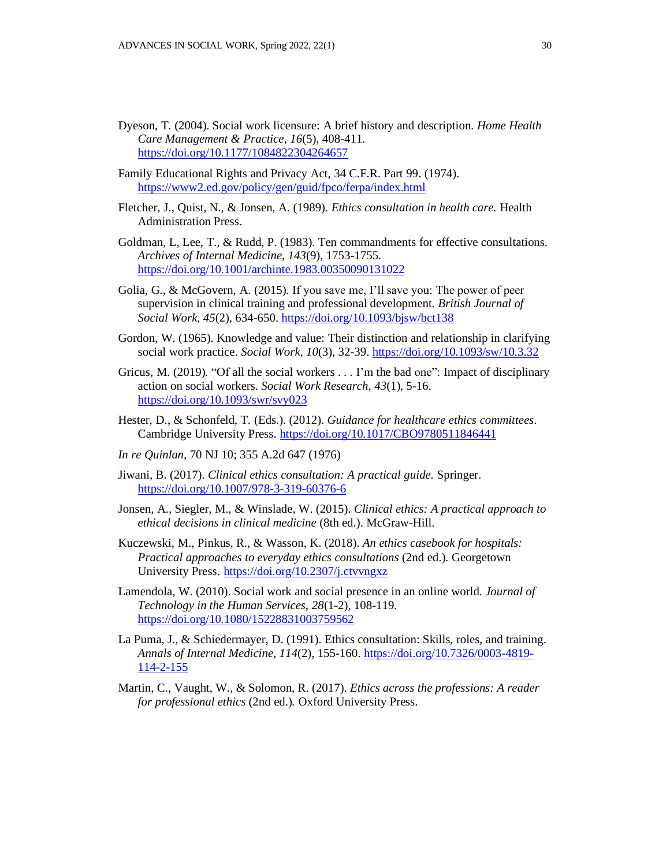- Dyeson, T. (2004). Social work licensure: A brief history and description. *Home Health Care Management & Practice, 16*(5), 408-411. <https://doi.org/10.1177/1084822304264657>
- Family Educational Rights and Privacy Act, 34 C.F.R. Part 99. (1974). <https://www2.ed.gov/policy/gen/guid/fpco/ferpa/index.html>
- Fletcher, J., Quist, N., & Jonsen, A. (1989). *Ethics consultation in health care.* Health Administration Press.
- Goldman, L, Lee, T., & Rudd, P. (1983). Ten commandments for effective consultations. *Archives of Internal Medicine, 143*(9), 1753-1755. <https://doi.org/10.1001/archinte.1983.00350090131022>
- Golia, G., & McGovern, A. (2015). If you save me, I'll save you: The power of peer supervision in clinical training and professional development. *British Journal of Social Work, 45*(2), 634-650.<https://doi.org/10.1093/bjsw/bct138>
- Gordon, W. (1965). Knowledge and value: Their distinction and relationship in clarifying social work practice. *Social Work, 10*(3), 32-39.<https://doi.org/10.1093/sw/10.3.32>
- Gricus, M. (2019). "Of all the social workers . . . I'm the bad one": Impact of disciplinary action on social workers. *Social Work Research, 43*(1), 5-16. <https://doi.org/10.1093/swr/svy023>
- Hester, D., & Schonfeld, T. (Eds.). (2012). *Guidance for healthcare ethics committees*. Cambridge University Press. <https://doi.org/10.1017/CBO9780511846441>
- *In re Quinlan*, 70 NJ 10; 355 A.2d 647 (1976)
- Jiwani, B. (2017). *Clinical ethics consultation: A practical guide.* Springer. <https://doi.org/10.1007/978-3-319-60376-6>
- Jonsen, A., Siegler, M., & Winslade, W. (2015). *Clinical ethics: A practical approach to ethical decisions in clinical medicine* (8th ed.). McGraw-Hill.
- Kuczewski, M., Pinkus, R., & Wasson, K. (2018). *An ethics casebook for hospitals: Practical approaches to everyday ethics consultations* (2nd ed.)*.* Georgetown University Press. <https://doi.org/10.2307/j.ctvvngxz>
- Lamendola, W. (2010). Social work and social presence in an online world. *Journal of Technology in the Human Services, 28*(1-2)*,* 108-119. <https://doi.org/10.1080/15228831003759562>
- La Puma, J., & Schiedermayer, D. (1991). Ethics consultation: Skills, roles, and training. *Annals of Internal Medicine, 114*(2), 155-160. [https://doi.org/10.7326/0003-4819-](https://doi.org/10.7326/0003-4819-114-2-155) [114-2-155](https://doi.org/10.7326/0003-4819-114-2-155)
- Martin, C., Vaught, W., & Solomon, R. (2017). *Ethics across the professions: A reader for professional ethics* (2nd ed.)*.* Oxford University Press.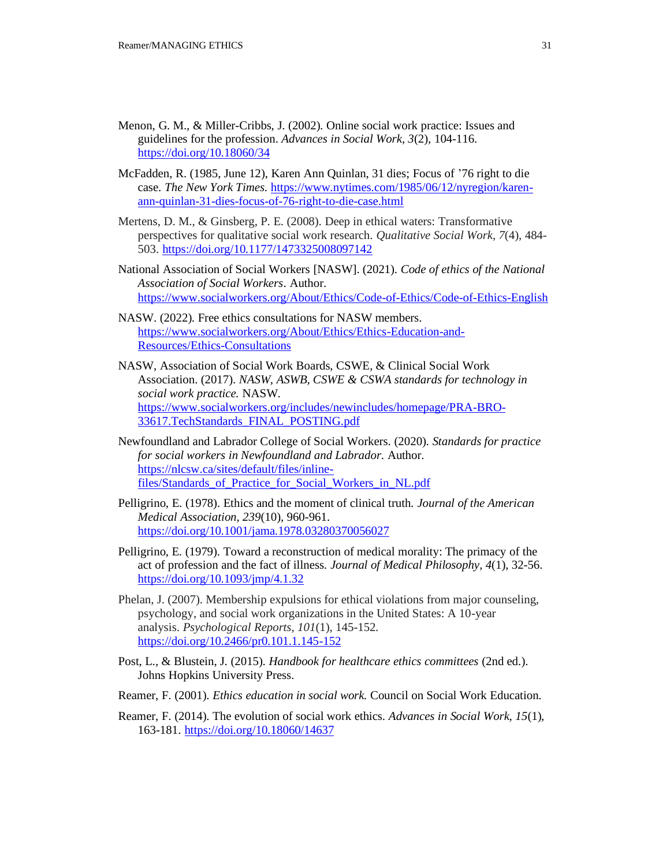- Menon, G. M., & Miller-Cribbs, J. (2002). Online social work practice: Issues and guidelines for the profession. *Advances in Social Work, 3*(2)*,* 104-116. <https://doi.org/10.18060/34>
- McFadden, R. (1985, June 12), Karen Ann Quinlan, 31 dies; Focus of '76 right to die case. *The New York Times.* [https://www.nytimes.com/1985/06/12/nyregion/karen](https://www.nytimes.com/1985/06/12/nyregion/karen-ann-quinlan-31-dies-focus-of-76-right-to-die-case.html)[ann-quinlan-31-dies-focus-of-76-right-to-die-case.html](https://www.nytimes.com/1985/06/12/nyregion/karen-ann-quinlan-31-dies-focus-of-76-right-to-die-case.html)
- Mertens, D. M., & Ginsberg, P. E. (2008). Deep in ethical waters: Transformative perspectives for qualitative social work research. *Qualitative Social Work*, *7*(4), 484- 503. <https://doi.org/10.1177/1473325008097142>
- National Association of Social Workers [NASW]. (2021). *Code of ethics of the National Association of Social Workers*. Author. <https://www.socialworkers.org/About/Ethics/Code-of-Ethics/Code-of-Ethics-English>
- NASW. (2022). Free ethics consultations for NASW members. [https://www.socialworkers.org/About/Ethics/Ethics-Education-and-](https://www.socialworkers.org/About/Ethics/Ethics-Education-and-Resources/Ethics-Consultations)[Resources/Ethics-Consultations](https://www.socialworkers.org/About/Ethics/Ethics-Education-and-Resources/Ethics-Consultations)
- NASW, Association of Social Work Boards, CSWE, & Clinical Social Work Association. (2017). *NASW, ASWB, CSWE & CSWA standards for technology in social work practice.* NASW. [https://www.socialworkers.org/includes/newincludes/homepage/PRA-BRO-](https://www.socialworkers.org/includes/newincludes/homepage/PRA-BRO-33617.TechStandards_FINAL_POSTING.pdf)[33617.TechStandards\\_FINAL\\_POSTING.pdf](https://www.socialworkers.org/includes/newincludes/homepage/PRA-BRO-33617.TechStandards_FINAL_POSTING.pdf)
- Newfoundland and Labrador College of Social Workers. (2020). *Standards for practice for social workers in Newfoundland and Labrador.* Author. [https://nlcsw.ca/sites/default/files/inline](https://nlcsw.ca/sites/default/files/inline-files/Standards_of_Practice_for_Social_Workers_in_NL.pdf)[files/Standards\\_of\\_Practice\\_for\\_Social\\_Workers\\_in\\_NL.pdf](https://nlcsw.ca/sites/default/files/inline-files/Standards_of_Practice_for_Social_Workers_in_NL.pdf)
- Pelligrino, E. (1978). Ethics and the moment of clinical truth. *Journal of the American Medical Association, 239*(10), 960-961. <https://doi.org/10.1001/jama.1978.03280370056027>
- Pelligrino, E. (1979). Toward a reconstruction of medical morality: The primacy of the act of profession and the fact of illness. *Journal of Medical Philosophy, 4*(1), 32-56. <https://doi.org/10.1093/jmp/4.1.32>
- Phelan, J. (2007). Membership expulsions for ethical violations from major counseling, psychology, and social work organizations in the United States: A 10-year analysis. *Psychological Reports*, *101*(1), 145-152. <https://doi.org/10.2466/pr0.101.1.145-152>
- Post, L., & Blustein, J. (2015). *Handbook for healthcare ethics committees* (2nd ed.). Johns Hopkins University Press.
- Reamer, F. (2001). *Ethics education in social work.* Council on Social Work Education.
- Reamer, F. (2014). The evolution of social work ethics. *Advances in Social Work, 15*(1), 163-181. <https://doi.org/10.18060/14637>